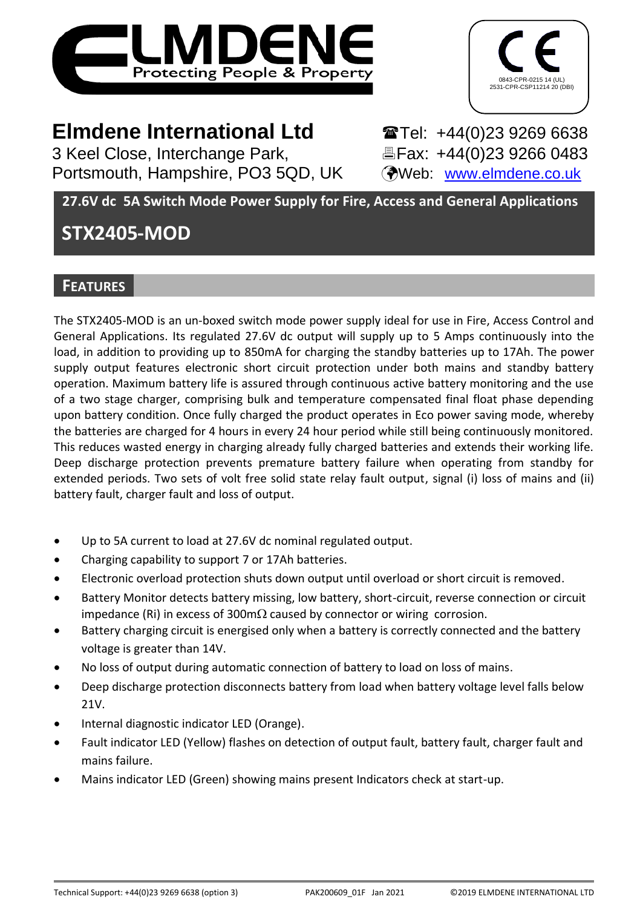



# **Elmdene International Ltd** Tel: +44(0)23 9269 6638

3 Keel Close, Interchange Park, Fax: +44(0)23 9266 0483 Portsmouth, Hampshire, PO3 5QD, UK (Web: [www.elmdene.co.uk](http://www.elmdene.co.uk/))

**27.6V dc 5A Switch Mode Power Supply for Fire, Access and General Applications**

# **STX2405-MOD**

## **FEATURES**

The STX2405-MOD is an un-boxed switch mode power supply ideal for use in Fire, Access Control and General Applications. Its regulated 27.6V dc output will supply up to 5 Amps continuously into the load, in addition to providing up to 850mA for charging the standby batteries up to 17Ah. The power supply output features electronic short circuit protection under both mains and standby battery operation. Maximum battery life is assured through continuous active battery monitoring and the use of a two stage charger, comprising bulk and temperature compensated final float phase depending upon battery condition. Once fully charged the product operates in Eco power saving mode, whereby the batteries are charged for 4 hours in every 24 hour period while still being continuously monitored. This reduces wasted energy in charging already fully charged batteries and extends their working life. Deep discharge protection prevents premature battery failure when operating from standby for extended periods. Two sets of volt free solid state relay fault output, signal (i) loss of mains and (ii) battery fault, charger fault and loss of output.

- Up to 5A current to load at 27.6V dc nominal regulated output.
- Charging capability to support 7 or 17Ah batteries.
- Electronic overload protection shuts down output until overload or short circuit is removed.
- Battery Monitor detects battery missing, low battery, short-circuit, reverse connection or circuit impedance (Ri) in excess of 300m $\Omega$  caused by connector or wiring corrosion.
- Battery charging circuit is energised only when a battery is correctly connected and the battery voltage is greater than 14V.
- No loss of output during automatic connection of battery to load on loss of mains.
- Deep discharge protection disconnects battery from load when battery voltage level falls below 21V.
- Internal diagnostic indicator LED (Orange).
- Fault indicator LED (Yellow) flashes on detection of output fault, battery fault, charger fault and mains failure.
- Mains indicator LED (Green) showing mains present Indicators check at start-up.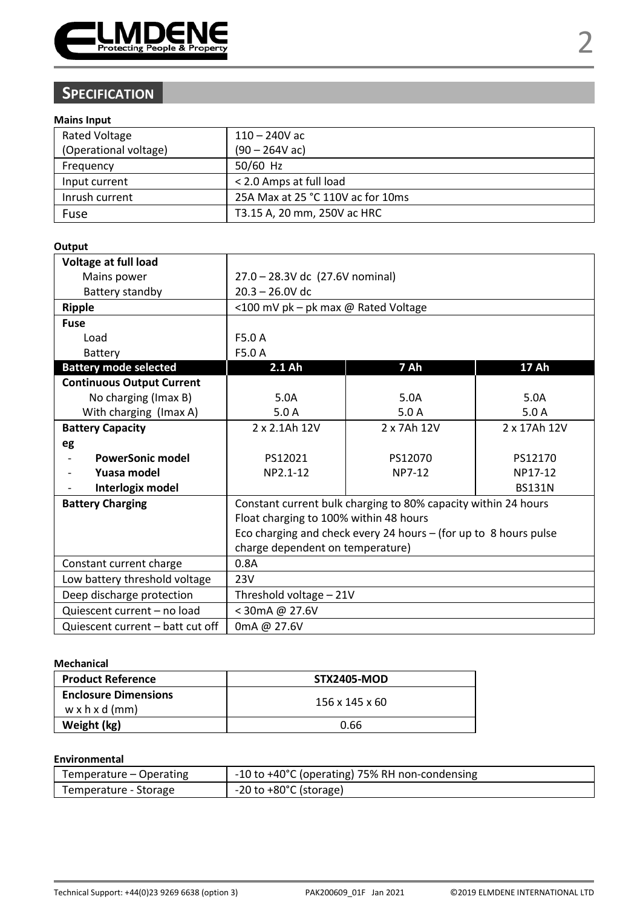

# **SPECIFICATION**

### **Mains Input**

| <b>Rated Voltage</b>  | $110 - 240V$ ac                   |
|-----------------------|-----------------------------------|
| (Operational voltage) | $(90 - 264V ac)$                  |
| Frequency             | 50/60 Hz                          |
| Input current         | < 2.0 Amps at full load           |
| Inrush current        | 25A Max at 25 °C 110V ac for 10ms |
| Fuse                  | T3.15 A, 20 mm, 250V ac HRC       |

#### **Output**

| Voltage at full load             |                                                                    |                                                                |               |  |
|----------------------------------|--------------------------------------------------------------------|----------------------------------------------------------------|---------------|--|
| Mains power                      | 27.0 - 28.3V dc (27.6V nominal)                                    |                                                                |               |  |
| Battery standby                  | $20.3 - 26.0V$ dc                                                  |                                                                |               |  |
| Ripple                           | <100 mV pk - pk max @ Rated Voltage                                |                                                                |               |  |
| <b>Fuse</b>                      |                                                                    |                                                                |               |  |
| Load                             | F5.0 A                                                             |                                                                |               |  |
| Battery                          | F5.0 A                                                             |                                                                |               |  |
| <b>Battery mode selected</b>     | 2.1 Ah                                                             | 7 Ah                                                           | <b>17 Ah</b>  |  |
| <b>Continuous Output Current</b> |                                                                    |                                                                |               |  |
| No charging (Imax B)             | 5.0A                                                               | 5.0A                                                           | 5.0A          |  |
| With charging (Imax A)           | 5.0A                                                               | 5.0A                                                           | 5.0A          |  |
| <b>Battery Capacity</b>          | 2 x 2.1Ah 12V<br>2 x 7Ah 12V                                       |                                                                | 2 x 17Ah 12V  |  |
| eg                               |                                                                    |                                                                |               |  |
| PowerSonic model                 | PS12021                                                            | PS12070                                                        | PS12170       |  |
| Yuasa model                      | NP2.1-12                                                           | NP7-12                                                         | NP17-12       |  |
| Interlogix model                 |                                                                    |                                                                | <b>BS131N</b> |  |
| <b>Battery Charging</b>          |                                                                    | Constant current bulk charging to 80% capacity within 24 hours |               |  |
|                                  | Float charging to 100% within 48 hours                             |                                                                |               |  |
|                                  | Eco charging and check every 24 hours $-$ (for up to 8 hours pulse |                                                                |               |  |
|                                  | charge dependent on temperature)                                   |                                                                |               |  |
| Constant current charge          | 0.8A                                                               |                                                                |               |  |
| Low battery threshold voltage    | 23V                                                                |                                                                |               |  |
| Deep discharge protection        | Threshold voltage - 21V                                            |                                                                |               |  |
| Quiescent current - no load      | < 30mA @ 27.6V                                                     |                                                                |               |  |
| Quiescent current – batt cut off | 0mA @ 27.6V                                                        |                                                                |               |  |

#### **Mechanical**

| <b>Product Reference</b>                                  | <b>STX2405-MOD</b> |  |
|-----------------------------------------------------------|--------------------|--|
| <b>Enclosure Dimensions</b><br>$w \times h \times d$ (mm) | 156 x 145 x 60     |  |
| Weight (kg)                                               | 0.66               |  |

### **Environmental**

| Temperature – Operating | -10 to +40°C (operating) 75% RH non-condensing |
|-------------------------|------------------------------------------------|
| Temperature - Storage   | $-20$ to $+80^{\circ}$ C (storage)             |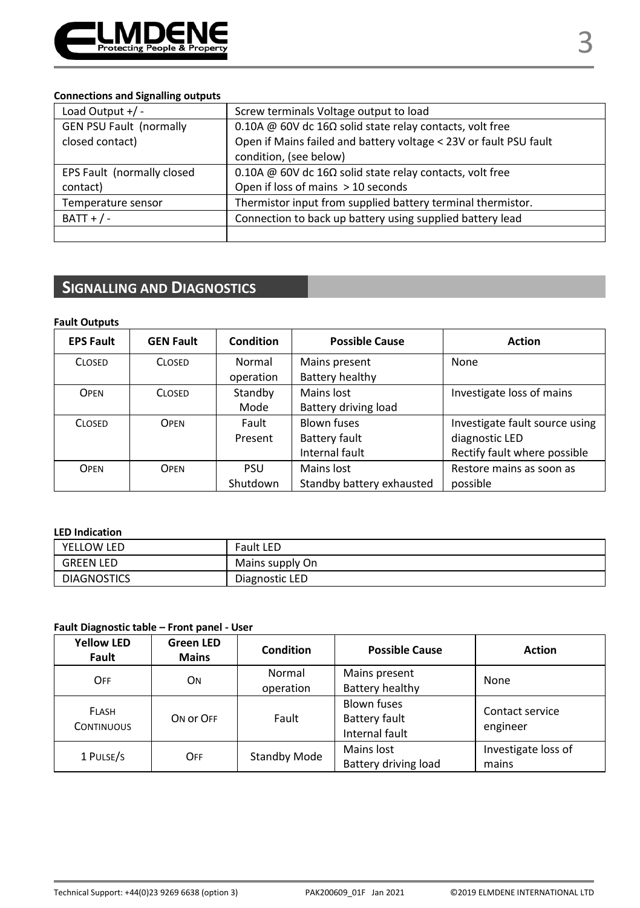

### **Connections and Signalling outputs**

| Load Output $+/-$              | Screw terminals Voltage output to load                            |  |
|--------------------------------|-------------------------------------------------------------------|--|
| <b>GEN PSU Fault (normally</b> | 0.10A @ 60V dc 16 $\Omega$ solid state relay contacts, volt free  |  |
| closed contact)                | Open if Mains failed and battery voltage < 23V or fault PSU fault |  |
|                                | condition, (see below)                                            |  |
| EPS Fault (normally closed     | 0.10A @ 60V dc 16 $\Omega$ solid state relay contacts, volt free  |  |
| contact)                       | Open if loss of mains > 10 seconds                                |  |
| Temperature sensor             | Thermistor input from supplied battery terminal thermistor.       |  |
| $BAT + / -$                    | Connection to back up battery using supplied battery lead         |  |
|                                |                                                                   |  |

## **SIGNALLING AND DIAGNOSTICS**

| <b>Fault Outputs</b> |                  |           |                           |                                |
|----------------------|------------------|-----------|---------------------------|--------------------------------|
| <b>EPS Fault</b>     | <b>GEN Fault</b> | Condition | <b>Possible Cause</b>     | <b>Action</b>                  |
| <b>CLOSED</b>        | <b>CLOSED</b>    | Normal    | Mains present             | None                           |
|                      |                  | operation | Battery healthy           |                                |
| OPEN                 | <b>CLOSED</b>    | Standby   | Mains lost                | Investigate loss of mains      |
|                      |                  | Mode      | Battery driving load      |                                |
| <b>CLOSED</b>        | OPEN             | Fault     | Blown fuses               | Investigate fault source using |
|                      |                  | Present   | Battery fault             | diagnostic LED                 |
|                      |                  |           | Internal fault            | Rectify fault where possible   |
| OPEN                 | OPEN             | PSU       | Mains lost                | Restore mains as soon as       |
|                      |                  | Shutdown  | Standby battery exhausted | possible                       |

#### **LED Indication**

| YELLOW LED         | <b>Fault LED</b> |
|--------------------|------------------|
| <b>GREEN LED</b>   | Mains supply On  |
| <b>DIAGNOSTICS</b> | Diagnostic LED   |

### **Fault Diagnostic table – Front panel - User**

| <b>Yellow LED</b><br>Fault        | <b>Green LED</b><br><b>Mains</b> | Condition           | <b>Possible Cause</b>                                 | <b>Action</b>                |  |
|-----------------------------------|----------------------------------|---------------------|-------------------------------------------------------|------------------------------|--|
| OFF                               | ON                               | Normal              | Mains present                                         | None                         |  |
|                                   |                                  | operation           | Battery healthy                                       |                              |  |
| <b>FLASH</b><br><b>CONTINUOUS</b> | ON OF OFF                        | Fault               | <b>Blown fuses</b><br>Battery fault<br>Internal fault | Contact service<br>engineer  |  |
| 1 PULSE/S                         | OFF                              | <b>Standby Mode</b> | Mains lost<br>Battery driving load                    | Investigate loss of<br>mains |  |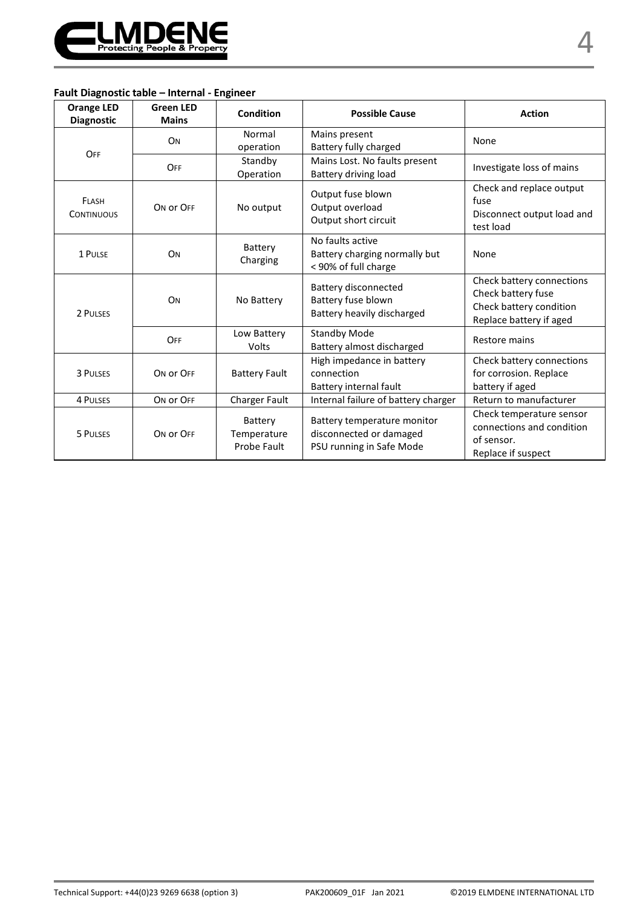

### **Fault Diagnostic table – Internal - Engineer**

| <b>Orange LED</b><br><b>Diagnostic</b> | <b>Green LED</b><br><b>Mains</b> | Condition                             | <b>Possible Cause</b>                                                              | <b>Action</b>                                                                                         |
|----------------------------------------|----------------------------------|---------------------------------------|------------------------------------------------------------------------------------|-------------------------------------------------------------------------------------------------------|
| OFF                                    | ON                               | Normal<br>operation                   | Mains present<br>Battery fully charged                                             | None                                                                                                  |
|                                        | OFF                              | Standby<br>Operation                  | Mains Lost. No faults present<br>Battery driving load                              | Investigate loss of mains                                                                             |
| FLASH<br><b>CONTINUOUS</b>             | ON OF OFF                        | No output                             | Output fuse blown<br>Output overload<br>Output short circuit                       | Check and replace output<br>fuse<br>Disconnect output load and<br>test load                           |
| 1 PULSE                                | <b>O<sub>N</sub></b>             | Battery<br>Charging                   | No faults active<br>Battery charging normally but<br>< 90% of full charge          | None                                                                                                  |
| 2 PULSES                               | <b>O<sub>N</sub></b>             | No Battery                            | Battery disconnected<br>Battery fuse blown<br>Battery heavily discharged           | Check battery connections<br>Check battery fuse<br>Check battery condition<br>Replace battery if aged |
|                                        | OFF                              | Low Battery<br>Volts                  | <b>Standby Mode</b><br>Battery almost discharged                                   | Restore mains                                                                                         |
| 3 PULSES                               | ON OF OFF                        | <b>Battery Fault</b>                  | High impedance in battery<br>connection<br>Battery internal fault                  | Check battery connections<br>for corrosion. Replace<br>battery if aged                                |
| <b>4 PULSES</b>                        | ON OF OFF                        | Charger Fault                         | Internal failure of battery charger                                                | Return to manufacturer                                                                                |
| 5 PULSES                               | ON OF OFF                        | Battery<br>Temperature<br>Probe Fault | Battery temperature monitor<br>disconnected or damaged<br>PSU running in Safe Mode | Check temperature sensor<br>connections and condition<br>of sensor.<br>Replace if suspect             |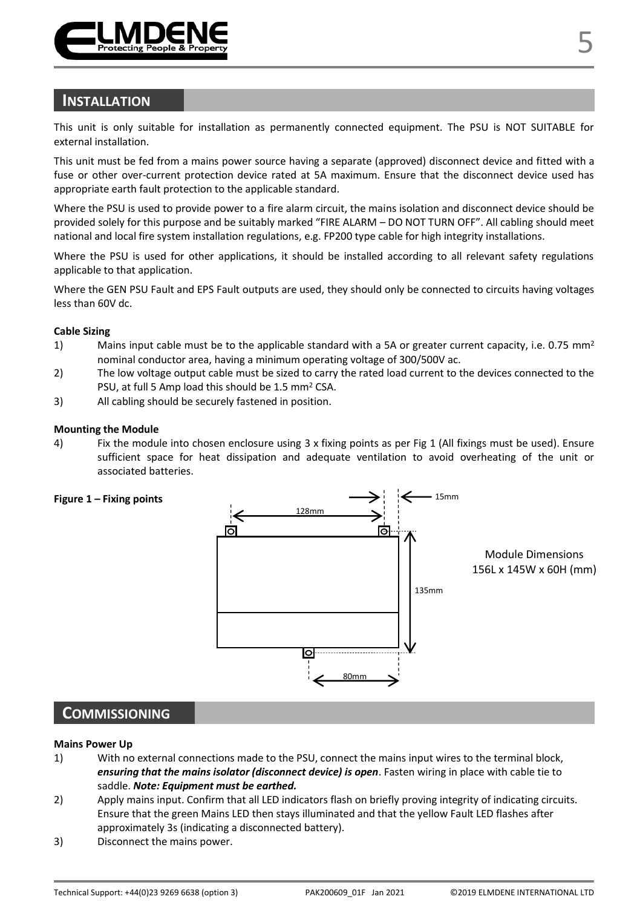

### **INSTALLATION**

This unit is only suitable for installation as permanently connected equipment. The PSU is NOT SUITABLE for external installation.

This unit must be fed from a mains power source having a separate (approved) disconnect device and fitted with a fuse or other over-current protection device rated at 5A maximum. Ensure that the disconnect device used has appropriate earth fault protection to the applicable standard.

Where the PSU is used to provide power to a fire alarm circuit, the mains isolation and disconnect device should be provided solely for this purpose and be suitably marked "FIRE ALARM – DO NOT TURN OFF". All cabling should meet national and local fire system installation regulations, e.g. FP200 type cable for high integrity installations.

Where the PSU is used for other applications, it should be installed according to all relevant safety regulations applicable to that application.

Where the GEN PSU Fault and EPS Fault outputs are used, they should only be connected to circuits having voltages less than 60V dc.

#### **Cable Sizing**

- 1) Mains input cable must be to the applicable standard with a 5A or greater current capacity, i.e. 0.75 mm<sup>2</sup> nominal conductor area, having a minimum operating voltage of 300/500V ac.
- 2) The low voltage output cable must be sized to carry the rated load current to the devices connected to the PSU, at full 5 Amp load this should be 1.5 mm<sup>2</sup> CSA.
- 3) All cabling should be securely fastened in position.

#### **Mounting the Module**

4) Fix the module into chosen enclosure using 3 x fixing points as per Fig 1 (All fixings must be used). Ensure sufficient space for heat dissipation and adequate ventilation to avoid overheating of the unit or associated batteries.



### **COMMISSIONING**

#### **Mains Power Up**

- 1) With no external connections made to the PSU, connect the mains input wires to the terminal block, *ensuring that the mains isolator (disconnect device) is open*. Fasten wiring in place with cable tie to saddle. *Note: Equipment must be earthed.*
- 2) Apply mains input. Confirm that all LED indicators flash on briefly proving integrity of indicating circuits. Ensure that the green Mains LED then stays illuminated and that the yellow Fault LED flashes after approximately 3s (indicating a disconnected battery).
- 3) Disconnect the mains power.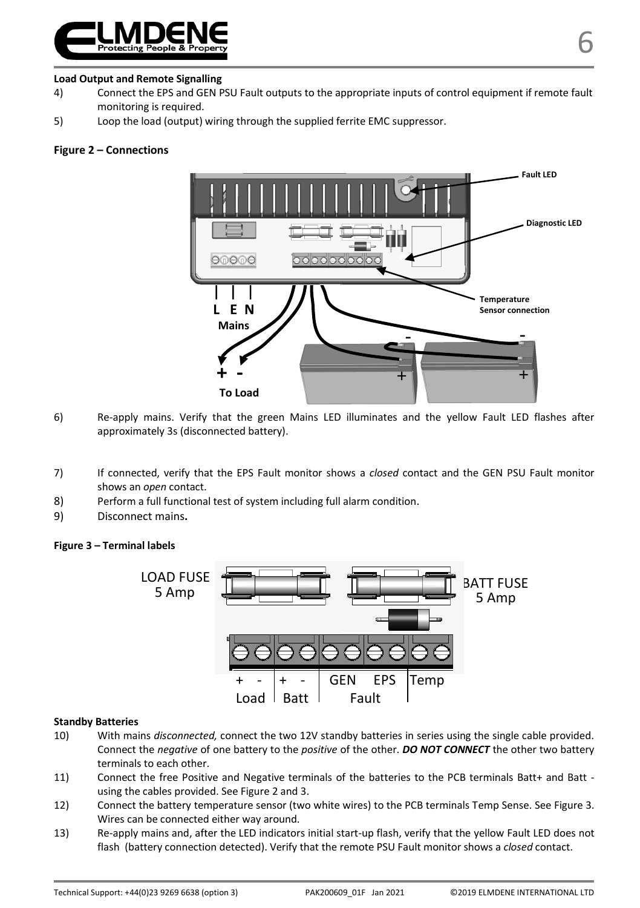

#### **Load Output and Remote Signalling**

- 4) Connect the EPS and GEN PSU Fault outputs to the appropriate inputs of control equipment if remote fault monitoring is required.
- 5) Loop the load (output) wiring through the supplied ferrite EMC suppressor.

#### **Figure 2 – Connections**



- 6) Re-apply mains. Verify that the green Mains LED illuminates and the yellow Fault LED flashes after approximately 3s (disconnected battery).
- 7) If connected, verify that the EPS Fault monitor shows a *closed* contact and the GEN PSU Fault monitor shows an *open* contact.
- 8) Perform a full functional test of system including full alarm condition.
- 9) Disconnect mains**.**

#### **Figure 3 – Terminal labels**



#### **Standby Batteries**

- 10) With mains *disconnected,* connect the two 12V standby batteries in series using the single cable provided. Connect the *negative* of one battery to the *positive* of the other. *DO NOT CONNECT* the other two battery terminals to each other.
- 11) Connect the free Positive and Negative terminals of the batteries to the PCB terminals Batt+ and Batt using the cables provided. See Figure 2 and 3.
- 12) Connect the battery temperature sensor (two white wires) to the PCB terminals Temp Sense. See Figure 3. Wires can be connected either way around.
- 13) Re-apply mains and, after the LED indicators initial start-up flash, verify that the yellow Fault LED does not flash (battery connection detected). Verify that the remote PSU Fault monitor shows a *closed* contact.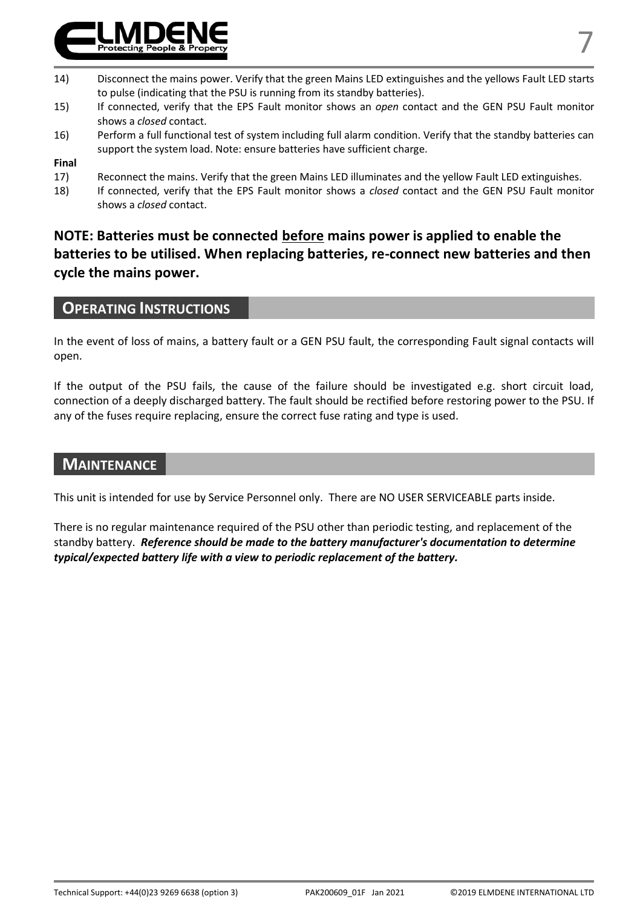

- 15) If connected, verify that the EPS Fault monitor shows an *open* contact and the GEN PSU Fault monitor shows a *closed* contact.
- 16) Perform a full functional test of system including full alarm condition. Verify that the standby batteries can support the system load. Note: ensure batteries have sufficient charge.

# **Final**

- Reconnect the mains. Verify that the green Mains LED illuminates and the yellow Fault LED extinguishes.
- 18) If connected, verify that the EPS Fault monitor shows a *closed* contact and the GEN PSU Fault monitor shows a *closed* contact.

## **NOTE: Batteries must be connected before mains power is applied to enable the batteries to be utilised. When replacing batteries, re-connect new batteries and then cycle the mains power.**

### **OPERATING INSTRUCTIONS**

In the event of loss of mains, a battery fault or a GEN PSU fault, the corresponding Fault signal contacts will open.

If the output of the PSU fails, the cause of the failure should be investigated e.g. short circuit load, connection of a deeply discharged battery. The fault should be rectified before restoring power to the PSU. If any of the fuses require replacing, ensure the correct fuse rating and type is used.

### **MAINTENANCE**

This unit is intended for use by Service Personnel only. There are NO USER SERVICEABLE parts inside.

There is no regular maintenance required of the PSU other than periodic testing, and replacement of the standby battery. *Reference should be made to the battery manufacturer's documentation to determine typical/expected battery life with a view to periodic replacement of the battery.*